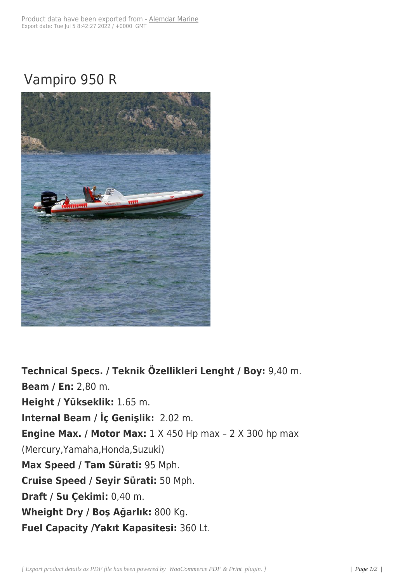## Vampiro 950 R



**Technical Specs. / Teknik Özellikleri Lenght / Boy:** 9,40 m. **Beam / En:** 2,80 m. **Height / Yükseklik:** 1.65 m. **Internal Beam / İç Genişlik:** 2.02 m. **Engine Max. / Motor Max:** 1 X 450 Hp max - 2 X 300 hp max (Mercury,Yamaha,Honda,Suzuki) **Max Speed / Tam Sürati:** 95 Mph. **Cruise Speed / Seyir Sürati:** 50 Mph. **Draft / Su Çekimi:** 0,40 m. **Wheight Dry / Boş Ağarlık:** 800 Kg. **Fuel Capacity /Yakıt Kapasitesi:** 360 Lt.